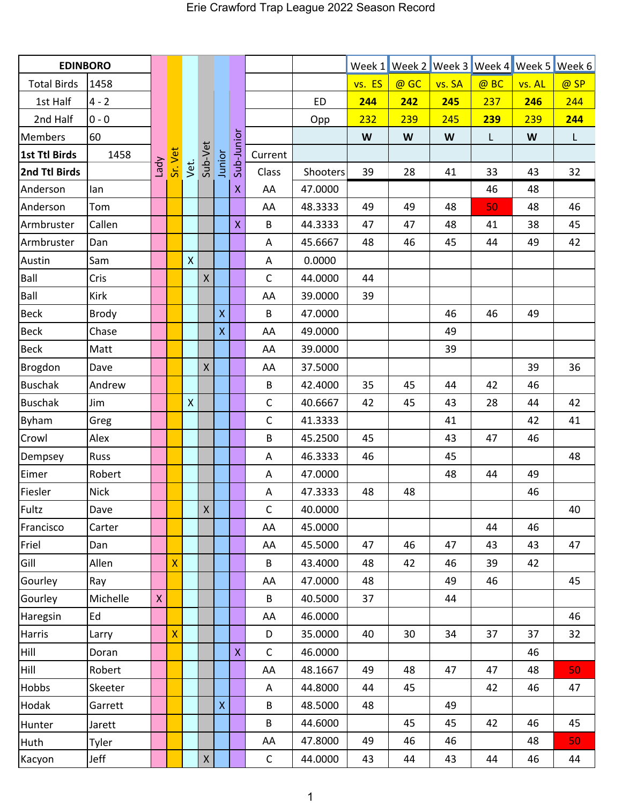| <b>EDINBORO</b>    |              |              |   |                             |              |                    |                            |              |           |        | Week 1 Week 2 Week 3 Week 4 Week 5 Week 6 |        |      |        |      |
|--------------------|--------------|--------------|---|-----------------------------|--------------|--------------------|----------------------------|--------------|-----------|--------|-------------------------------------------|--------|------|--------|------|
| <b>Total Birds</b> | 1458         |              |   |                             |              |                    |                            |              |           | vs. ES | @ GC                                      | vs. SA | @ BC | vs. AL | @ SP |
| 1st Half           | $4 - 2$      |              |   |                             |              |                    |                            |              | <b>ED</b> | 244    | 242                                       | 245    | 237  | 246    | 244  |
| 2nd Half           | $0 - 0$      |              |   |                             |              |                    |                            |              | Opp       | 232    | 239                                       | 245    | 239  | 239    | 244  |
| <b>Members</b>     | 60           | Vpey         |   | Sr. Vet.<br>Vet.<br>Sub-Vet |              | Junior             | Sub-Junior<br>$\mathsf{X}$ |              |           | W      | W                                         | W      | L    | W      | L    |
| 1st Ttl Birds      | 1458         |              |   |                             |              |                    |                            | Current      |           |        |                                           |        |      |        |      |
| 2nd Ttl Birds      |              |              |   |                             |              |                    |                            | Class        | Shooters  | 39     | 28                                        | 41     | 33   | 43     | 32   |
| Anderson           | lan          |              |   |                             |              |                    |                            | AA           | 47.0000   |        |                                           |        | 46   | 48     |      |
| Anderson           | Tom          |              |   |                             |              |                    |                            | AA           | 48.3333   | 49     | 49                                        | 48     | 50   | 48     | 46   |
| Armbruster         | Callen       |              |   |                             |              |                    | $\overline{\mathsf{X}}$    | B            | 44.3333   | 47     | 47                                        | 48     | 41   | 38     | 45   |
| Armbruster         | Dan          |              |   |                             |              |                    |                            | A            | 45.6667   | 48     | 46                                        | 45     | 44   | 49     | 42   |
| Austin             | Sam          |              |   | $\mathsf X$                 |              |                    |                            | A            | 0.0000    |        |                                           |        |      |        |      |
| Ball               | Cris         |              |   |                             | $\mathsf{X}$ |                    |                            | $\mathsf C$  | 44.0000   | 44     |                                           |        |      |        |      |
| Ball               | Kirk         |              |   |                             |              |                    |                            | AA           | 39.0000   | 39     |                                           |        |      |        |      |
| <b>Beck</b>        | <b>Brody</b> |              |   |                             |              | $\bar{\mathsf{X}}$ |                            | B            | 47.0000   |        |                                           | 46     | 46   | 49     |      |
| <b>Beck</b>        | Chase        |              |   |                             |              | $\pmb{\mathsf{X}}$ |                            | AA           | 49.0000   |        |                                           | 49     |      |        |      |
| <b>Beck</b>        | Matt         |              |   |                             |              |                    |                            | AA           | 39.0000   |        |                                           | 39     |      |        |      |
| Brogdon            | Dave         |              |   |                             | $\mathsf X$  |                    |                            | AA           | 37.5000   |        |                                           |        |      | 39     | 36   |
| <b>Buschak</b>     | Andrew       |              |   |                             |              |                    |                            | B            | 42.4000   | 35     | 45                                        | 44     | 42   | 46     |      |
| <b>Buschak</b>     | Jim          |              |   | $\pmb{\mathsf{X}}$          |              |                    |                            | $\mathsf C$  | 40.6667   | 42     | 45                                        | 43     | 28   | 44     | 42   |
| <b>Byham</b>       | Greg         |              |   |                             |              |                    |                            | $\mathsf C$  | 41.3333   |        |                                           | 41     |      | 42     | 41   |
| Crowl              | Alex         |              |   |                             |              |                    |                            | B            | 45.2500   | 45     |                                           | 43     | 47   | 46     |      |
| Dempsey            | <b>Russ</b>  |              |   |                             |              |                    |                            | A            | 46.3333   | 46     |                                           | 45     |      |        | 48   |
| Eimer              | Robert       |              |   |                             |              |                    |                            | A            | 47.0000   |        |                                           | 48     | 44   | 49     |      |
| Fiesler            | <b>Nick</b>  |              |   |                             |              |                    |                            | Α            | 47.3333   | 48     | 48                                        |        |      | 46     |      |
| Fultz              | Dave         |              |   |                             | $\mathsf X$  |                    |                            | $\mathsf C$  | 40.0000   |        |                                           |        |      |        | 40   |
| Francisco          | Carter       |              |   |                             |              |                    |                            | AA           | 45.0000   |        |                                           |        | 44   | 46     |      |
| Friel              | Dan          |              |   |                             |              |                    |                            | AA           | 45.5000   | 47     | 46                                        | 47     | 43   | 43     | 47   |
| Gill               | Allen        |              | X |                             |              |                    |                            | B            | 43.4000   | 48     | 42                                        | 46     | 39   | 42     |      |
| Gourley            | Ray          |              |   |                             |              |                    |                            | AA           | 47.0000   | 48     |                                           | 49     | 46   |        | 45   |
| Gourley            | Michelle     | $\mathsf{X}$ |   |                             |              |                    |                            | B            | 40.5000   | 37     |                                           | 44     |      |        |      |
| Haregsin           | Ed           |              |   |                             |              |                    |                            | AA           | 46.0000   |        |                                           |        |      |        | 46   |
| Harris             | Larry        |              | Χ |                             |              |                    |                            | D            | 35.0000   | 40     | 30                                        | 34     | 37   | 37     | 32   |
| Hill               | Doran        |              |   |                             |              |                    | $\pmb{\mathsf{X}}$         | $\mathsf{C}$ | 46.0000   |        |                                           |        |      | 46     |      |
| Hill               | Robert       |              |   |                             |              |                    |                            | AA           | 48.1667   | 49     | 48                                        | 47     | 47   | 48     | 50   |
| <b>Hobbs</b>       | Skeeter      |              |   |                             |              |                    |                            | A            | 44.8000   | 44     | 45                                        |        | 42   | 46     | 47   |
| Hodak              | Garrett      |              |   |                             |              | $\mathsf{X}$       |                            | B            | 48.5000   | 48     |                                           | 49     |      |        |      |
| Hunter             | Jarett       |              |   |                             |              |                    |                            | B            | 44.6000   |        | 45                                        | 45     | 42   | 46     | 45   |
| <b>Huth</b>        | Tyler        |              |   |                             |              |                    |                            | AA           | 47.8000   | 49     | 46                                        | 46     |      | 48     | 50   |
| Kacyon             | Jeff         |              |   |                             | $\mathsf X$  |                    |                            | $\mathsf{C}$ | 44.0000   | 43     | 44                                        | 43     | 44   | 46     | 44   |